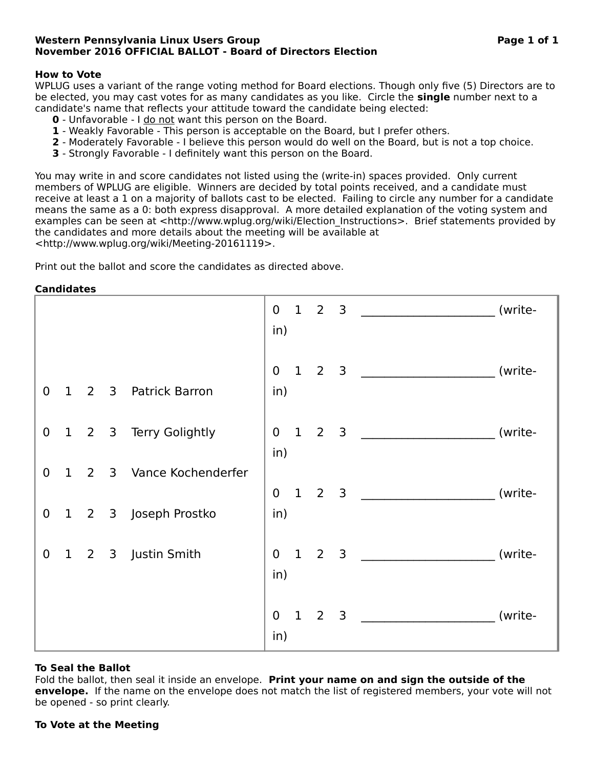# **Western Pennsylvania Linux Users Group Page 1 of 1 November 2016 OFFICIAL BALLOT - Board of Directors Election**

# **How to Vote**

WPLUG uses a variant of the range voting method for Board elections. Though only five (5) Directors are to be elected, you may cast votes for as many candidates as you like. Circle the **single** number next to a candidate's name that reflects your attitude toward the candidate being elected:

- **0** Unfavorable I do not want this person on the Board.
- **1** Weakly Favorable This person is acceptable on the Board, but I prefer others.
- **2** Moderately Favorable I believe this person would do well on the Board, but is not a top choice.
- **3** Strongly Favorable I definitely want this person on the Board.

You may write in and score candidates not listed using the (write-in) spaces provided. Only current members of WPLUG are eligible. Winners are decided by total points received, and a candidate must receive at least a 1 on a majority of ballots cast to be elected. Failing to circle any number for a candidate means the same as a 0: both express disapproval. A more detailed explanation of the voting system and examples can be seen at <http://www.wplug.org/wiki/Election Instructions>. Brief statements provided by the candidates and more details about the meeting will be available at <http://www.wplug.org/wiki/Meeting-20161119>.

Print out the ballot and score the candidates as directed above.

## **Candidates**

|                  |                 |                |                |                      | $\overline{0}$<br>in) |              | $1 \quad 2 \quad 3$ |                |                                                                                                                      | (write- |
|------------------|-----------------|----------------|----------------|----------------------|-----------------------|--------------|---------------------|----------------|----------------------------------------------------------------------------------------------------------------------|---------|
| $\mathbf 0$      | $\mathbf{1}$    | $\overline{2}$ | 3              | Patrick Barron       | $\mathbf 0$<br>in)    |              | $1\quad 2$          | $\overline{3}$ | <u> 1980 - Jan Barbarat, prima prima prima prima prima prima prima prima prima prima prima prima prima prima pri</u> | (write- |
| $\mathbf 0$      |                 | $1 \quad 2$    |                | 3 Terry Golightly    | $\overline{0}$<br>in) | $\mathbf{1}$ | $\overline{2}$      | $\overline{3}$ |                                                                                                                      | (write- |
| $\mathbf 0$      | $\mathbf{1}$    | $\overline{2}$ |                | 3 Vance Kochenderfer | $\overline{0}$        |              | $1\quad 2$          | $\overline{3}$ |                                                                                                                      | (write- |
| $\boldsymbol{0}$ | $\vert 1 \vert$ | $\overline{2}$ | 3 <sup>7</sup> | Joseph Prostko       | in)                   |              |                     |                |                                                                                                                      |         |
| $\mathbf 0$      | $\mathbf{1}$    | $\overline{2}$ |                | 3 Justin Smith       | $\overline{0}$<br>in) | $\mathbf{1}$ | $\overline{2}$      | $\overline{3}$ |                                                                                                                      | (write- |
|                  |                 |                |                |                      | $\mathbf 0$<br>in)    |              | $1 \quad 2$         | 3              |                                                                                                                      | (write- |

#### **To Seal the Ballot**

Fold the ballot, then seal it inside an envelope. **Print your name on and sign the outside of the envelope.** If the name on the envelope does not match the list of registered members, your vote will not be opened - so print clearly.

#### **To Vote at the Meeting**